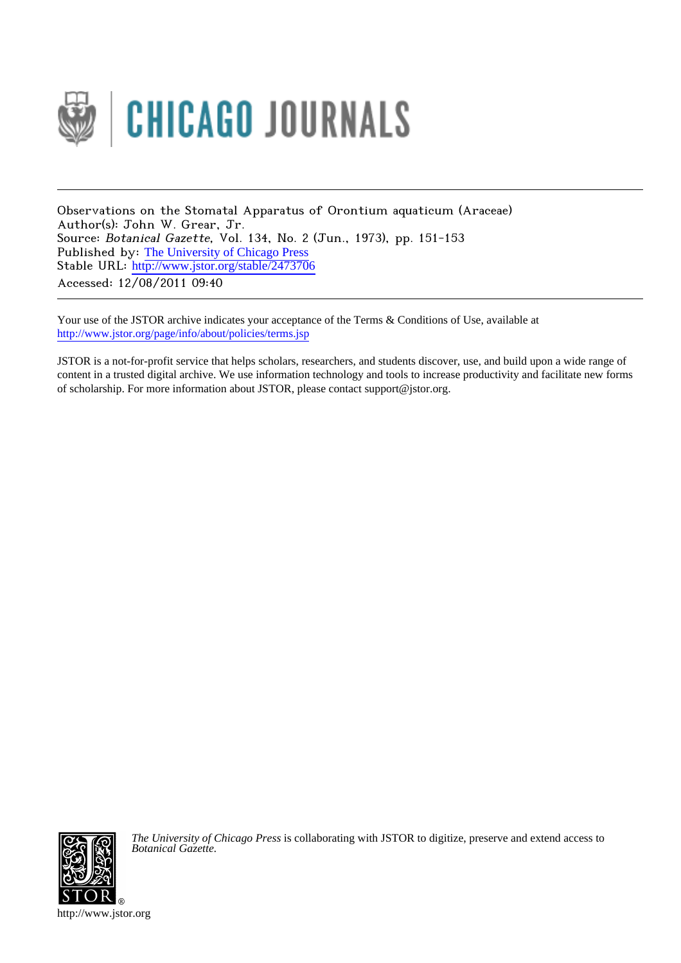

Observations on the Stomatal Apparatus of Orontium aquaticum (Araceae) Author(s): John W. Grear, Jr. Source: Botanical Gazette, Vol. 134, No. 2 (Jun., 1973), pp. 151-153 Published by: [The University of Chicago Press](http://www.jstor.org/action/showPublisher?publisherCode=ucpress) Stable URL: [http://www.jstor.org/stable/2473706](http://www.jstor.org/stable/2473706?origin=JSTOR-pdf) Accessed: 12/08/2011 09:40

Your use of the JSTOR archive indicates your acceptance of the Terms & Conditions of Use, available at <http://www.jstor.org/page/info/about/policies/terms.jsp>

JSTOR is a not-for-profit service that helps scholars, researchers, and students discover, use, and build upon a wide range of content in a trusted digital archive. We use information technology and tools to increase productivity and facilitate new forms of scholarship. For more information about JSTOR, please contact support@jstor.org.



*The University of Chicago Press* is collaborating with JSTOR to digitize, preserve and extend access to *Botanical Gazette.*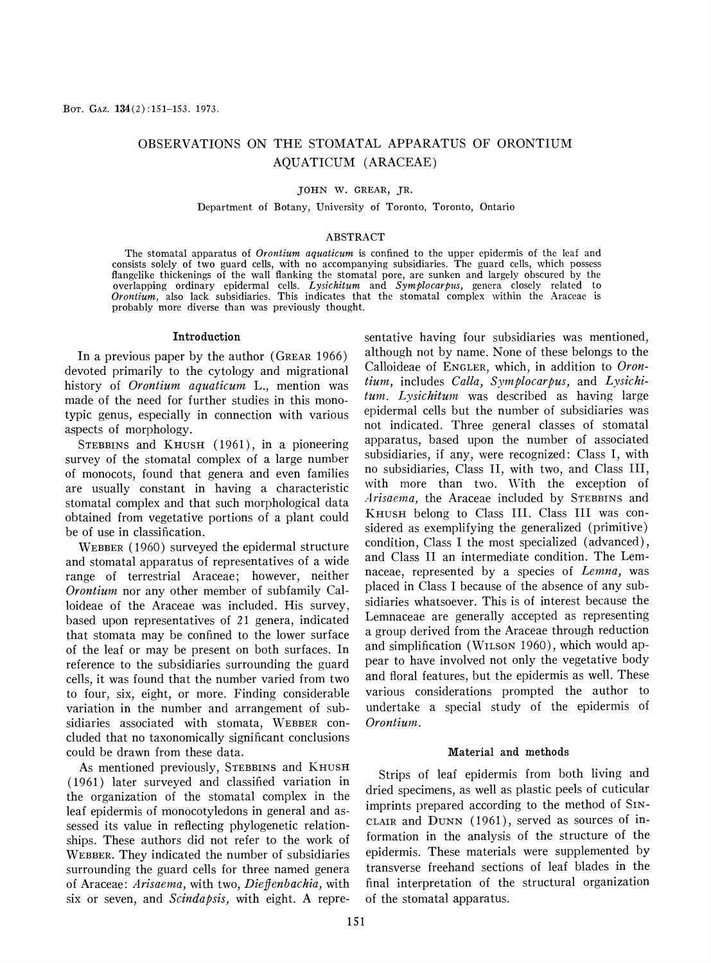# **OBSERVATIONS ON THE STOMATAL APPARATUS OF ORONTIUM AQUATICUM ( ARACEAE )**

## **JOHN W. GREAR, JR.**

## **Department of Botany, University of Toronto, Toronto, Ontario**

## **ABSTRACT**

**The stomatal apparatus of Orontium aquaticum is confined to the upper epidermis of the leaf and consists solely of two guard cells, with no accompanying subsidiaries. The guard cells, which possess flangelike thickenings of the wall flanking the stomatal pore, are sunken and largely obscured by the overlapping ordinary epidermal cells. Lysichitum and Symplocarpus, genera closely related to Orontium, also lack subsidiaries. This indicates that the stomatal complex within the Araceae is probably more diverse than was previously thought.** 

#### **Introduction**

**In a previous paper by the author (GREAR 1966) devoted primarily to the cytology and migrational history of Orontium aquaticum L., mention was made of the need for further studies in this monotypic genus, especially in connection with various aspects of morphology.** 

**STEBBINS and K HUSH (1961), in a pioneering survey of the stomatal complex of a large number of monocots, found that genera and even families are usually constant in having a characteristic stomatal complex and that such morphological data obtained from vegetative portions of a plant could be of use in classification.** 

**WEBBER (1960) surveyed the epidermal structure and stomatal apparatus of representatives of a wide range of terrestrial Araceae; however, neither Orontium** nor any other member of subfamily Cal**loideae of the Araceae was included. His survey, based upon representatives of 21 genera, indicated that stomata may be confined to the lower surface of the leaf or may be present on both surfaces. In reference to the subsidiaries surrounding the guard cells, it was found that the number varied from two to four, six, eight, or more. Finding considerable variation in the number and arrangement of sub**sidiaries associated with stomata, WEBBER con**cluded that no taxonomically significant conclusions could be drawn from these data.** 

**As mentioned previously, STEBBINS and K HUSH ( 1961 ) later surveyed and classified variation in the organization of the stomatal complex in the leaf epidermis of monocotyledons in general and assessed its value in reflecting phylogenetic relationships. These authors did not refer to the work of WEBBER. They indicated the number of subsidiaries surrounding the guard cells for three named genera**  of Araceae: Arisaema, with two, Dieffenbachia, with **six or seven, and Scindapsis, with eight. A repre-** **sentative having four subsidiaries was mentioned, although not by name. None of these belongs to the Calloideae of ENGLER, which, in addition to Oron***tium,* **includes Calla, Symplocarpus, and Lysichitum.** Lysichitum was described as having large **epidermal cells but the number of subsidiaries was not indicated. Three general classes of stomatal apparatus, based upon the number of associated subsidiaries, if any, were recognized: Class I, with no subsidiaries, Class II, with two, and Class III,**  with more than two. With the exception of Arisaema, the Araceae included by STEBBINS and **KHUSH belong to Class III. Class III was considered as exemplifying the generalized (primitive) condition, Class I the most specialized (advanced), and Class II an intermediate condition. The Lemnaceae, represented by a species of** *Lemna***, was placed in Class I because of the absence of any subsidiaries whatsoever. This is of interest because the Lemnaceae are generally accepted as representing a group derived from the Araceae through reduction and simplification (WILSON 1960), which would appear to have involved not only the vegetative body and floral features, but the epidermis as well. These various considerations prompted the author to undertake a special study of the epidermis of**  Orontium.

#### **Material and methods**

**Strips of leaf epidermis from both living and dried specimens, as well as plastic peels of cuticular imprints prepared according to the method of SIN\_ CLAIR and DUNN (1961), served as sources of information in the analysis of the structure of the epidermis. These materials were supplemented by transverse freehand sections of leaf blades in the final interpretation of the structural organization of the stomatal apparatus.**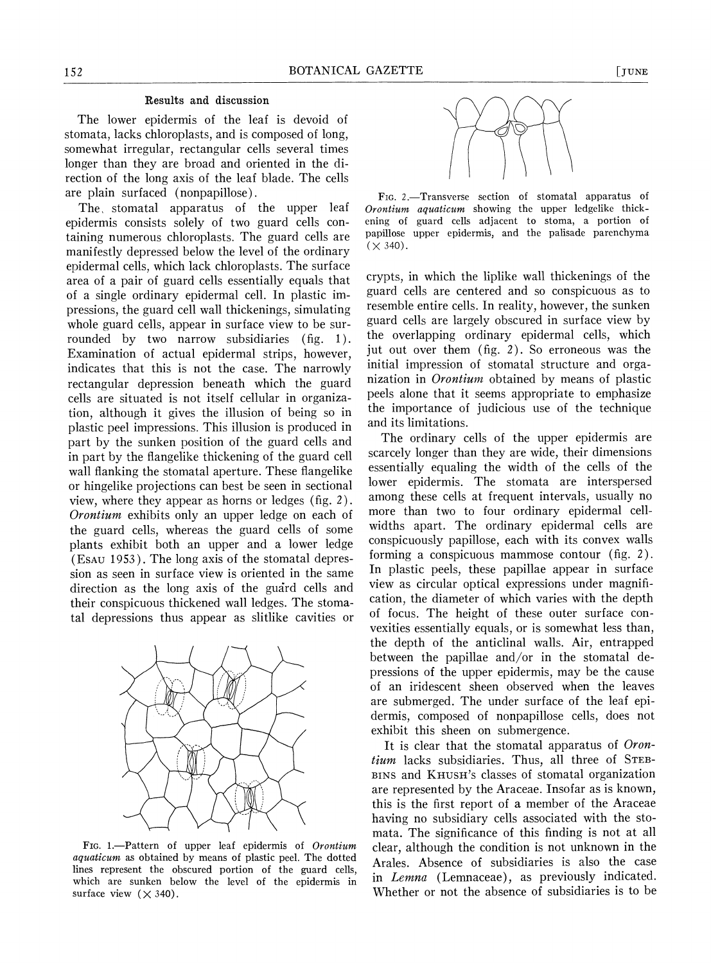# **Results and discussion**

**The lower epidermis of the leaf is devoid of stomata, lacks chloroplasts, and is composed of long, somewhat irregular, rectangular cells several times longer than they are broad and oriented in the direction of the long axis of the leaf blade. The cells are plain surfaced (nonpapillose).** 

The stomatal apparatus of the upper leaf **epidermis consists solely of two guard cells containing numerous chloroplasts. The guard cells are manifestly depressed below the level of the ordinary epidermal cells, which lack chloroplasts. The surface area of a pair of guard cells essentially equals that of a single ordinary epidermal cell. In plastic impressions, the guard cell wall thickenings, simulating whole guard cells, appear in surface view to be sur**rounded by two narrow subsidiaries (fig. 1). **Examination of actual epidermal strips, however, indicates that this is not the case. The narrowly rectangular depression beneath which the guard cells are situated is not itself cellular in organization, although it gives the illusion of being so in plastic peel impressions. This illusion is produced in part by the sunken position of the guard cells and in part by the flangelike thickening of the guard cell wall flanking the stomatal aperture. These flangelike or hingelike projections can best be seen in sectional view, where they appear as horns or ledges (fig. 2). Orontium exhibits only an upper ledge on each of the guard cells, whereas the guard cells of some plants exhibit both an upper and a lower ledge (ESAU 1953). The long axis of the stomatal depression as seen in surface view is oriented in the same direction as the long axis of the guard cells and their conspicuous thickened wall ledges. The stomatal depressions thus appear as slitlike cavities or** 



**FIG. 1. Pattern of upper leaf epidermis of Orontium**  aquaticum as obtained by means of plastic peel. The dotted **lines represent the obscured portion of the guard cells, which are sunken below the level of the epidermis in**  surface view  $(\times 340)$ .



**FIG. 2. Transverse section of stomatal apparatus of Orontium aquaticum showing the upper ledgelike thick**ening of guard cells adjacent to stoma, a portion of **papillose upper epidermis, and the palisade parenchyma**   $(\times 340)$ .

**crypts, in which the liplike wall thickenings of the guard cells are centered and so conspicuous as to resemble entire cells. In reality, however, the sunken guard cells are largely obscured in surface view by the overlapping ordinary epidermal cells, which jut out over them (fig. 2). So erroneous was the initial impression of stomatal structure and organization in Orontium obtained by means of plastic peels alone that it seems appropriate to emphasize the importance of judicious use of the technique and its limitations.** 

**The ordinary cells of the upper epidermis are scarcely longer than they are wide, their dimensions essentially equaling the width of the cells of the lower epidermis. The stomata are interspersed among these cells at frequent intervals, usually no more than two to four ordinary epidermal cellwidths apart. The ordinary epidermal cells are conspicuously papillose, each with its convex walls forming a conspicuous mammose contour (fig. 2). In plastic peels, these papillae appear in surface view as circular optical expressions under magnification, the diameter of which varies with the depth of focus. The height of these outer surface convexities essentially equals, or is somewhat less than, the depth of the anticlinal walls. Air, entrapped between the papillae and/or in the stomatal depressions of the upper epidermis, may be the cause of an iridescent sheen observed when the leaves are submerged. The under surface of the leaf epidermis, composed of nonpapillose cells, does not exhibit this sheen on submergence.** 

**It is clear that the stomatal apparatus of Orontium lacks subsidiaries. Thus, all three of STEB\_ BINS and KHUSH'S classes of stomatal organization are represented by the Araceae. Insofar as is known, this is the first report of a member of the Araceae having no subsidiary cells associated with the stomata. The significance of this finding is not at all clear, although the condition is not unknown in the Arales. Absence of subsidiaries is also the case in Lemna (Lemnaceae), as previously indicated. Whether or not the absence of subsidiaries is to be**